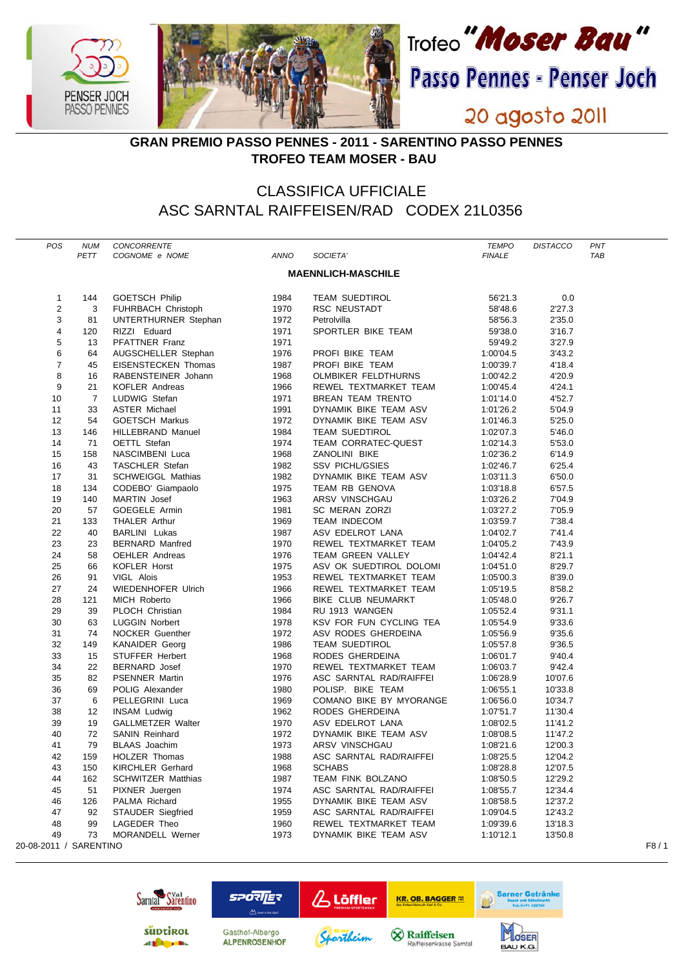

## **GRAN PREMIO PASSO PENNES - 2011 - SARENTINO PASSO PENNES TROFEO TEAM MOSER - BAU**

## CLASSIFICA UFFICIALE ASC SARNTAL RAIFFEISEN/RAD CODEX 21L0356

| POS                       | <b>NUM</b><br>PETT | CONCORRENTE<br>COGNOME e NOME        | ANNO         | SOCIETA'                                       | <b>TEMPO</b><br><b>FINALE</b> | <b>DISTACCO</b>    | PNT<br>TAB |
|---------------------------|--------------------|--------------------------------------|--------------|------------------------------------------------|-------------------------------|--------------------|------------|
| <b>MAENNLICH-MASCHILE</b> |                    |                                      |              |                                                |                               |                    |            |
|                           |                    |                                      |              |                                                |                               |                    |            |
| 1<br>2                    | 144<br>3           | <b>GOETSCH Philip</b>                | 1984<br>1970 | <b>TEAM SUEDTIROL</b>                          | 56'21.3<br>58'48.6            | 0.0<br>2'27.3      |            |
| 3                         | 81                 | FUHRBACH Christoph                   | 1972         | RSC NEUSTADT<br>Petrolvilla                    | 58'56.3                       | 2'35.0             |            |
| 4                         | 120                | UNTERTHURNER Stephan<br>RIZZI Eduard | 1971         | SPORTLER BIKE TEAM                             | 59'38.0                       | 3'16.7             |            |
| 5                         | 13                 | PFATTNER Franz                       | 1971         |                                                | 59'49.2                       | 3'27.9             |            |
| 6                         | 64                 | AUGSCHELLER Stephan                  | 1976         | PROFI BIKE TEAM                                | 1:00'04.5                     | 3'43.2             |            |
| 7                         | 45                 | EISENSTECKEN Thomas                  | 1987         | PROFI BIKE TEAM                                | 1:00'39.7                     | 4'18.4             |            |
| 8                         | 16                 | RABENSTEINER Johann                  | 1968         | <b>OLMBIKER FELDTHURNS</b>                     | 1:00'42.2                     | 4'20.9             |            |
| 9                         | 21                 | KOFLER Andreas                       | 1966         | REWEL TEXTMARKET TEAM                          | 1:00'45.4                     | 4'24.1             |            |
| 10                        | $\overline{7}$     | LUDWIG Stefan                        | 1971         | <b>BREAN TEAM TRENTO</b>                       | 1:01'14.0                     | 4'52.7             |            |
| 11                        | 33                 | <b>ASTER Michael</b>                 | 1991         | DYNAMIK BIKE TEAM ASV                          | 1:01'26.2                     | 5'04.9             |            |
| 12                        | 54                 | <b>GOETSCH Markus</b>                | 1972         | DYNAMIK BIKE TEAM ASV                          | 1:01'46.3                     | 5'25.0             |            |
| 13                        | 146                | <b>HILLEBRAND Manuel</b>             | 1984         | <b>TEAM SUEDTIROL</b>                          | 1:02'07.3                     | 5'46.0             |            |
| 14                        | 71                 | OETTL Stefan                         | 1974         | TEAM CORRATEC-QUEST                            | 1:02'14.3                     | 5'53.0             |            |
| 15                        | 158                | NASCIMBENI Luca                      | 1968         | ZANOLINI BIKE                                  | 1:02'36.2                     | 6'14.9             |            |
| 16                        | 43                 | <b>TASCHLER Stefan</b>               | 1982         | <b>SSV PICHL/GSIES</b>                         | 1:02'46.7                     | 6'25.4             |            |
| 17                        | 31                 | <b>SCHWEIGGL Mathias</b>             | 1982         | DYNAMIK BIKE TEAM ASV                          | 1:03'11.3                     | 6'50.0             |            |
| 18                        | 134                | CODEBO' Giampaolo                    | 1975         | TEAM RB GENOVA                                 | 1:03'18.8                     | 6'57.5             |            |
| 19                        | 140                | MARTIN Josef                         | 1963         | ARSV VINSCHGAU                                 | 1:03'26.2                     | 7'04.9             |            |
| 20                        | 57                 | GOEGELE Armin                        | 1981         | <b>SC MERAN ZORZI</b>                          | 1:03'27.2                     | 7'05.9             |            |
| 21                        | 133                | <b>THALER Arthur</b>                 | 1969         | <b>TEAM INDECOM</b>                            | 1:03'59.7                     | 7'38.4             |            |
| 22                        | 40                 | <b>BARLINI</b> Lukas                 | 1987         | ASV EDELROT LANA                               | 1:04'02.7                     | 7'41.4             |            |
| 23                        | 23                 | <b>BERNARD Manfred</b>               | 1970         | REWEL TEXTMARKET TEAM                          | 1:04'05.2                     | 7'43.9             |            |
| 24                        | 58                 | <b>OEHLER Andreas</b>                | 1976         | TEAM GREEN VALLEY                              | 1:04'42.4                     | 8'21.1             |            |
| 25                        | 66                 | <b>KOFLER Horst</b>                  | 1975         | ASV OK SUEDTIROL DOLOMI                        | 1:04'51.0                     | 8'29.7             |            |
| 26                        | 91                 | VIGL Alois                           | 1953         | REWEL TEXTMARKET TEAM                          | 1:05'00.3                     | 8'39.0             |            |
| 27                        | 24                 | WIEDENHOFER Ulrich                   | 1966         | REWEL TEXTMARKET TEAM                          | 1:05'19.5                     | 8'58.2             |            |
| 28                        | 121                | MICH Roberto                         | 1966         | BIKE CLUB NEUMARKT                             | 1:05'48.0                     | 9'26.7             |            |
| 29                        | 39                 | PLOCH Christian                      | 1984         | RU 1913 WANGEN                                 | 1:05'52.4                     | 9'31.1             |            |
| 30                        | 63                 | <b>LUGGIN Norbert</b>                | 1978         | KSV FOR FUN CYCLING TEA                        | 1:05'54.9                     | 9'33.6             |            |
| 31                        | 74                 | <b>NOCKER Guenther</b>               | 1972         | ASV RODES GHERDEINA                            | 1:05'56.9                     | 9'35.6             |            |
| 32                        | 149                | <b>KANAIDER Georg</b>                | 1986         | <b>TEAM SUEDTIROL</b>                          | 1:05'57.8                     | 9'36.5             |            |
| 33                        | 15                 | <b>STUFFER Herbert</b>               | 1968         | RODES GHERDEINA                                | 1:06'01.7                     | 9'40.4             |            |
| 34                        | 22                 | <b>BERNARD</b> Josef                 | 1970         | REWEL TEXTMARKET TEAM                          | 1:06'03.7                     | 9'42.4             |            |
| 35                        | 82                 | <b>PSENNER Martin</b>                | 1976         | ASC SARNTAL RAD/RAIFFEI                        | 1:06'28.9                     | 10'07.6            |            |
| 36                        | 69                 | POLIG Alexander                      | 1980         | POLISP. BIKE TEAM                              | 1:06'55.1                     | 10'33.8            |            |
| 37                        | 6                  | PELLEGRINI Luca                      | 1969         | COMANO BIKE BY MYORANGE                        | 1:06'56.0                     | 10'34.7            |            |
| 38                        | 12                 | <b>INSAM Ludwig</b>                  | 1962         | RODES GHERDEINA                                | 1:07'51.7                     | 11'30.4            |            |
| 39                        | 19                 | <b>GALLMETZER Walter</b>             | 1970         | ASV EDELROT LANA                               | 1:08'02.5                     | 11'41.2            |            |
| 40                        | 72                 | <b>SANIN Reinhard</b>                | 1972         | DYNAMIK BIKE TEAM ASV                          | 1:08'08.5                     | 11'47.2            |            |
| 41                        | 79                 | <b>BLAAS</b> Joachim                 | 1973         | ARSV VINSCHGAU                                 | 1:08'21.6                     | 12'00.3            |            |
| 42                        | 159                | HOLZER Thomas                        | 1988         | ASC SARNTAL RAD/RAIFFEI                        | 1:08'25.5                     | 12'04.2            |            |
| 43                        | 150                | <b>KIRCHLER Gerhard</b>              | 1968         | <b>SCHABS</b>                                  | 1:08'28.8                     | 12'07.5            |            |
| 44                        | 162                | <b>SCHWITZER Matthias</b>            | 1987         | TEAM FINK BOLZANO                              | 1:08'50.5                     | 12'29.2            |            |
| 45                        | 51                 | PIXNER Juergen                       | 1974         | ASC SARNTAL RAD/RAIFFEI                        | 1:08'55.7                     | 12'34.4            |            |
| 46                        | 126                | PALMA Richard                        | 1955         | DYNAMIK BIKE TEAM ASV                          | 1:08'58.5                     | 12'37.2            |            |
| 47                        | 92                 | STAUDER Siegfried                    | 1959         | ASC SARNTAL RAD/RAIFFEI                        | 1:09'04.5                     | 12'43.2            |            |
| 48<br>49                  | 99<br>73           | LAGEDER Theo<br>MORANDELL Werner     | 1960<br>1973 | REWEL TEXTMARKET TEAM<br>DYNAMIK BIKE TEAM ASV | 1:09'39.6<br>1:10'12.1        | 13'18.3<br>13'50.8 |            |
| 20-08-2011 / SARENTINO    |                    |                                      |              |                                                |                               |                    | F8/1       |
|                           |                    |                                      |              |                                                |                               |                    |            |



**A474 651** 

**LOSER**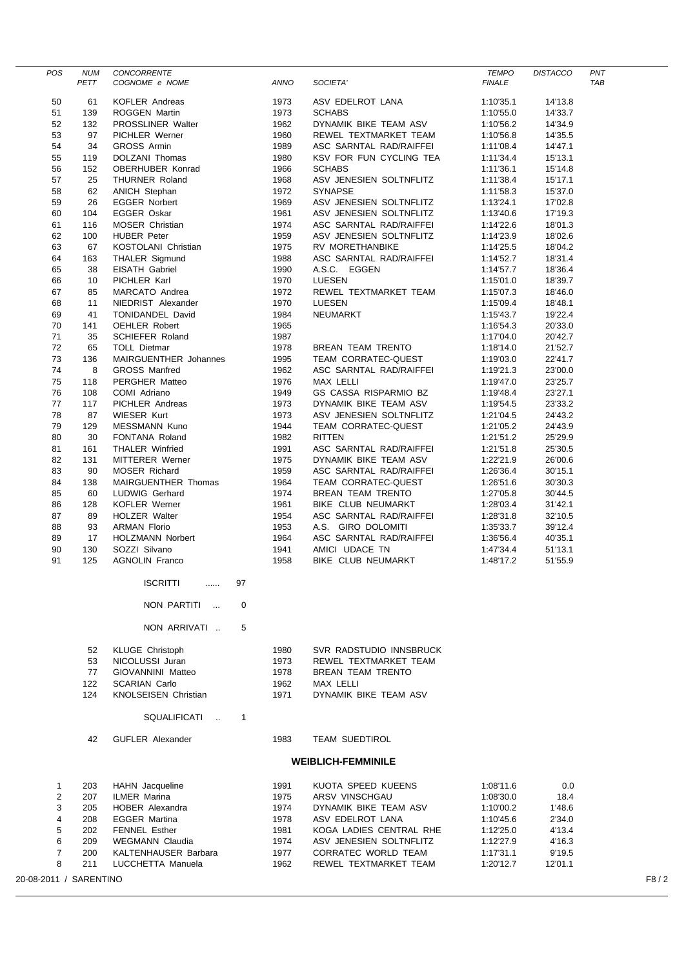| <b>POS</b>          | <b>NUM</b>                     | CONCORRENTE                            |              |                                          | <b>TEMPO</b>           | <b>DISTACCO</b>    | PNT        |  |  |
|---------------------|--------------------------------|----------------------------------------|--------------|------------------------------------------|------------------------|--------------------|------------|--|--|
|                     | PETT                           | COGNOME e NOME                         | ANNO         | SOCIETA'                                 | <b>FINALE</b>          |                    | <b>TAB</b> |  |  |
|                     |                                |                                        |              |                                          |                        |                    |            |  |  |
| 50                  | 61                             | <b>KOFLER Andreas</b>                  | 1973         | ASV EDELROT LANA                         | 1:10'35.1              | 14'13.8            |            |  |  |
| 51                  | 139                            | <b>ROGGEN Martin</b>                   | 1973         | <b>SCHABS</b>                            | 1:10'55.0              | 14'33.7            |            |  |  |
| 52                  | 132                            | <b>PROSSLINER Walter</b>               | 1962         | DYNAMIK BIKE TEAM ASV                    | 1:10'56.2              | 14'34.9            |            |  |  |
| 53                  | 97                             | <b>PICHLER Werner</b>                  | 1960         | REWEL TEXTMARKET TEAM                    | 1:10'56.8              | 14'35.5            |            |  |  |
| 54                  | 34                             | <b>GROSS Armin</b>                     | 1989         | ASC SARNTAL RAD/RAIFFEI                  | 1:11'08.4              | 14'47.1            |            |  |  |
| 55                  | 119                            | DOLZANI Thomas                         | 1980         | KSV FOR FUN CYCLING TEA                  | 1:11'34.4              | 15'13.1            |            |  |  |
| 56                  | 152                            | OBERHUBER Konrad                       | 1966         | <b>SCHABS</b><br>ASV JENESIEN SOLTNFLITZ | 1:11'36.1              | 15'14.8            |            |  |  |
| 57<br>58            | 25<br>62                       | THURNER Roland<br><b>ANICH Stephan</b> | 1968<br>1972 | <b>SYNAPSE</b>                           | 1:11'38.4<br>1:11'58.3 | 15'17.1<br>15'37.0 |            |  |  |
| 59                  | 26                             | <b>EGGER Norbert</b>                   | 1969         | ASV JENESIEN SOLTNFLITZ                  | 1:13'24.1              | 17'02.8            |            |  |  |
| 60                  | 104                            | <b>EGGER Oskar</b>                     | 1961         | ASV JENESIEN SOLTNFLITZ                  | 1:13'40.6              | 17'19.3            |            |  |  |
| 61                  | 116                            | MOSER Christian                        | 1974         | ASC SARNTAL RAD/RAIFFEI                  | 1:14'22.6              | 18'01.3            |            |  |  |
| 62                  | 100                            | <b>HUBER Peter</b>                     | 1959         | ASV JENESIEN SOLTNFLITZ                  | 1:14'23.9              | 18'02.6            |            |  |  |
| 63                  | 67                             | KOSTOLANI Christian                    | 1975         | RV MORETHANBIKE                          | 1:14'25.5              | 18'04.2            |            |  |  |
| 64                  | 163                            | <b>THALER Sigmund</b>                  | 1988         | ASC SARNTAL RAD/RAIFFEI                  | 1:14'52.7              | 18'31.4            |            |  |  |
| 65                  | 38                             | <b>EISATH Gabriel</b>                  | 1990         | A.S.C. EGGEN                             | 1:14'57.7              | 18'36.4            |            |  |  |
| 66                  | 10                             | PICHLER Karl                           | 1970         | LUESEN                                   | 1:15'01.0              | 18'39.7            |            |  |  |
| 67                  | 85                             | MARCATO Andrea                         | 1972         | REWEL TEXTMARKET TEAM                    | 1:15'07.3              | 18'46.0            |            |  |  |
| 68                  | 11                             | NIEDRIST Alexander                     | 1970         | <b>LUESEN</b>                            | 1:15'09.4              | 18'48.1            |            |  |  |
| 69                  | 41                             | TONIDANDEL David                       | 1984         | NEUMARKT                                 | 1:15'43.7              | 19'22.4            |            |  |  |
| 70                  | 141                            | <b>OEHLER Robert</b>                   | 1965         |                                          | 1:16'54.3              | 20'33.0            |            |  |  |
| 71                  | 35                             | <b>SCHIEFER Roland</b>                 | 1987         |                                          | 1:17'04.0              | 20'42.7            |            |  |  |
| 72                  | 65                             | <b>TOLL Dietmar</b>                    | 1978         | BREAN TEAM TRENTO                        | 1:18'14.0              | 21'52.7            |            |  |  |
| 73                  | 136                            | MAIRGUENTHER Johannes                  | 1995         | TEAM CORRATEC-QUEST                      | 1:19'03.0              | 22'41.7            |            |  |  |
| 74                  | 8                              | <b>GROSS Manfred</b>                   | 1962         | ASC SARNTAL RAD/RAIFFEI<br>MAX LELLI     | 1:19'21.3              | 23'00.0            |            |  |  |
| 75<br>76            | 118<br>108                     | PERGHER Matteo<br>COMI Adriano         | 1976<br>1949 | GS CASSA RISPARMIO BZ                    | 1:19'47.0              | 23'25.7<br>23'27.1 |            |  |  |
| 77                  | 117                            | PICHLER Andreas                        | 1973         | DYNAMIK BIKE TEAM ASV                    | 1:19'48.4<br>1:19'54.5 | 23'33.2            |            |  |  |
| 78                  | 87                             | <b>WIESER Kurt</b>                     | 1973         | ASV JENESIEN SOLTNFLITZ                  | 1:21'04.5              | 24'43.2            |            |  |  |
| 79                  | 129                            | MESSMANN Kuno                          | 1944         | <b>TEAM CORRATEC-QUEST</b>               | 1:21'05.2              | 24'43.9            |            |  |  |
| 80                  | 30                             | FONTANA Roland                         | 1982         | <b>RITTEN</b>                            | 1:21'51.2              | 25'29.9            |            |  |  |
| 81                  | 161                            | <b>THALER Winfried</b>                 | 1991         | ASC SARNTAL RAD/RAIFFEI                  | 1:21'51.8              | 25'30.5            |            |  |  |
| 82                  | 131                            | <b>MITTERER Werner</b>                 | 1975         | DYNAMIK BIKE TEAM ASV                    | 1:22'21.9              | 26'00.6            |            |  |  |
| 83                  | 90                             | <b>MOSER Richard</b>                   | 1959         | ASC SARNTAL RAD/RAIFFEI                  | 1:26'36.4              | 30'15.1            |            |  |  |
| 84                  | 138                            | MAIRGUENTHER Thomas                    | 1964         | TEAM CORRATEC-QUEST                      | 1:26'51.6              | 30'30.3            |            |  |  |
| 85                  | 60                             | LUDWIG Gerhard                         | 1974         | BREAN TEAM TRENTO                        | 1:27'05.8              | 30'44.5            |            |  |  |
| 86                  | 128                            | <b>KOFLER Werner</b>                   | 1961         | BIKE CLUB NEUMARKT                       | 1:28'03.4              | 31'42.1            |            |  |  |
| 87                  | 89                             | <b>HOLZER Walter</b>                   | 1954         | ASC SARNTAL RAD/RAIFFEI                  | 1:28'31.8              | 32'10.5            |            |  |  |
| 88                  | 93                             | <b>ARMAN Florio</b>                    | 1953         | A.S. GIRO DOLOMITI                       | 1:35'33.7              | 39'12.4            |            |  |  |
| 89                  | 17                             | <b>HOLZMANN Norbert</b>                | 1964         | ASC SARNTAL RAD/RAIFFEI                  | 1:36'56.4              | 40'35.1            |            |  |  |
| 90                  | 130                            | SOZZI Silvano                          | 1941         | AMICI UDACE TN                           | 1:47'34.4              | 51'13.1            |            |  |  |
| 91                  | 125                            | <b>AGNOLIN Franco</b>                  | 1958         | <b>BIKE CLUB NEUMARKT</b>                | 1:48'17.2              | 51'55.9            |            |  |  |
|                     |                                | <b>ISCRITTI</b><br>97<br>.             |              |                                          |                        |                    |            |  |  |
|                     |                                | 0<br>NON PARTITI<br>$\sim$             |              |                                          |                        |                    |            |  |  |
|                     |                                |                                        |              |                                          |                        |                    |            |  |  |
|                     |                                | 5<br>NON ARRIVATI                      |              |                                          |                        |                    |            |  |  |
|                     | 52                             | <b>KLUGE Christoph</b>                 | 1980         | SVR RADSTUDIO INNSBRUCK                  |                        |                    |            |  |  |
|                     | 53                             | NICOLUSSI Juran                        | 1973         | REWEL TEXTMARKET TEAM                    |                        |                    |            |  |  |
|                     | 77                             | GIOVANNINI Matteo                      | 1978         | <b>BREAN TEAM TRENTO</b>                 |                        |                    |            |  |  |
|                     | 122                            | <b>SCARIAN Carlo</b>                   | 1962         | MAX LELLI                                |                        |                    |            |  |  |
|                     | 124                            | <b>KNOLSEISEN Christian</b>            | 1971         | DYNAMIK BIKE TEAM ASV                    |                        |                    |            |  |  |
|                     |                                | SQUALIFICATI<br>$\mathbf{1}$<br>$\sim$ |              |                                          |                        |                    |            |  |  |
|                     | 42                             | <b>GUFLER Alexander</b>                | 1983         | <b>TEAM SUEDTIROL</b>                    |                        |                    |            |  |  |
|                     |                                |                                        |              | <b>WEIBLICH-FEMMINILE</b>                |                        |                    |            |  |  |
|                     |                                |                                        |              |                                          |                        |                    |            |  |  |
| 1                   | 203                            | HAHN Jacqueline                        | 1991         | KUOTA SPEED KUEENS                       | 1:08'11.6              | 0.0                |            |  |  |
| $\overline{2}$<br>3 | 207<br>205                     | <b>ILMER Marina</b><br>HOBER Alexandra | 1975         | ARSV VINSCHGAU<br>DYNAMIK BIKE TEAM ASV  | 1:08'30.0              | 18.4               |            |  |  |
| 4                   | 208                            | <b>EGGER Martina</b>                   | 1974<br>1978 | ASV EDELROT LANA                         | 1:10'00.2<br>1:10'45.6 | 1'48.6<br>2'34.0   |            |  |  |
| 5                   | 202                            | <b>FENNEL Esther</b>                   | 1981         | KOGA LADIES CENTRAL RHE                  | 1:12'25.0              | 4'13.4             |            |  |  |
| 6                   | 209                            | <b>WEGMANN Claudia</b>                 | 1974         | ASV JENESIEN SOLTNFLITZ                  | 1:12'27.9              | 4'16.3             |            |  |  |
| $\overline{7}$      | 200                            | KALTENHAUSER Barbara                   | 1977         | CORRATEC WORLD TEAM                      | 1:17'31.1              | 9'19.5             |            |  |  |
| 8                   | 211                            | LUCCHETTA Manuela                      | 1962         | REWEL TEXTMARKET TEAM                    | 1:20'12.7              | 12'01.1            |            |  |  |
|                     | 20-08-2011 / SARENTINO<br>F8/2 |                                        |              |                                          |                        |                    |            |  |  |